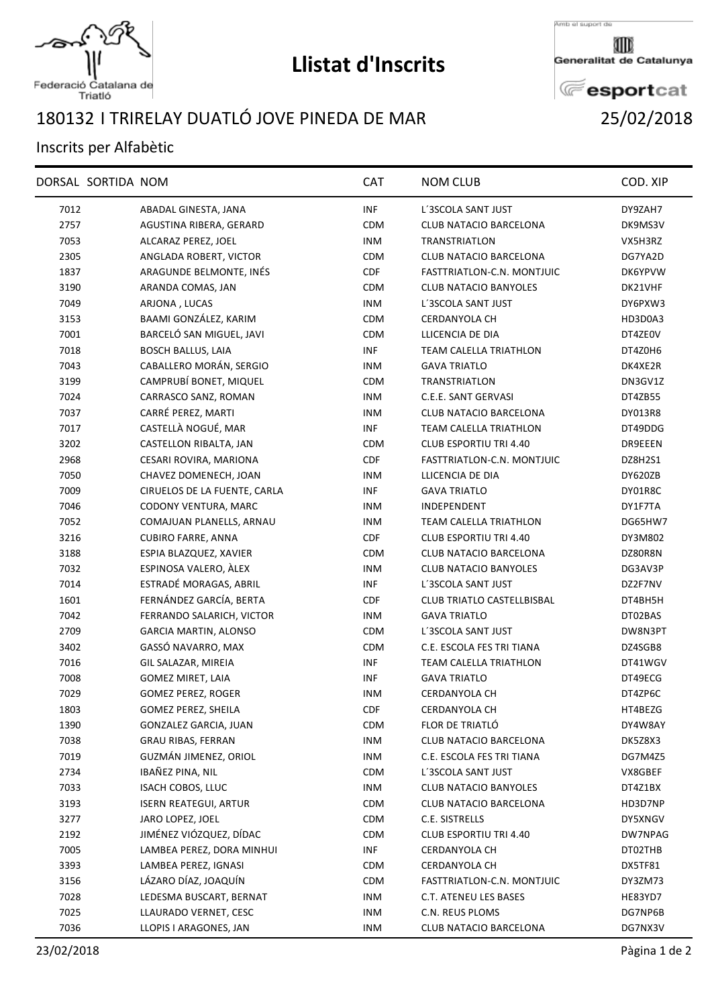

## **Llistat d'Inscrits**

Amb el suport de

Generalitat de Catalunya

**E**esportcat

## Federació Catalana de<br>Triatló

## I TRIRELAY DUATLÓ JOVE PINEDA DE MAR 25/02/2018

## Inscrits per Alfabètic

|      | DORSAL SORTIDA NOM |                              | <b>CAT</b> | <b>NOM CLUB</b>               | COD. XIP       |
|------|--------------------|------------------------------|------------|-------------------------------|----------------|
| 7012 |                    | ABADAL GINESTA, JANA         | <b>INF</b> | L'3SCOLA SANT JUST            | DY9ZAH7        |
| 2757 |                    | AGUSTINA RIBERA, GERARD      | <b>CDM</b> | CLUB NATACIO BARCELONA        | DK9MS3V        |
| 7053 |                    | ALCARAZ PEREZ, JOEL          | <b>INM</b> | <b>TRANSTRIATLON</b>          | VX5H3RZ        |
| 2305 |                    | ANGLADA ROBERT, VICTOR       | <b>CDM</b> | <b>CLUB NATACIO BARCELONA</b> | DG7YA2D        |
| 1837 |                    | ARAGUNDE BELMONTE, INÉS      | <b>CDF</b> | FASTTRIATLON-C.N. MONTJUIC    | DK6YPVW        |
| 3190 |                    | ARANDA COMAS, JAN            | <b>CDM</b> | <b>CLUB NATACIO BANYOLES</b>  | DK21VHF        |
| 7049 |                    | ARJONA, LUCAS                | <b>INM</b> | L'3SCOLA SANT JUST            | DY6PXW3        |
| 3153 |                    | BAAMI GONZÁLEZ, KARIM        | <b>CDM</b> | <b>CERDANYOLA CH</b>          | HD3D0A3        |
| 7001 |                    | BARCELÓ SAN MIGUEL, JAVI     | <b>CDM</b> | LLICENCIA DE DIA              | DT4ZE0V        |
| 7018 |                    | <b>BOSCH BALLUS, LAIA</b>    | <b>INF</b> | TEAM CALELLA TRIATHLON        | DT4Z0H6        |
| 7043 |                    | CABALLERO MORÁN, SERGIO      | <b>INM</b> | <b>GAVA TRIATLO</b>           | DK4XE2R        |
| 3199 |                    | CAMPRUBÍ BONET, MIQUEL       | <b>CDM</b> | TRANSTRIATLON                 | DN3GV1Z        |
| 7024 |                    | CARRASCO SANZ, ROMAN         | <b>INM</b> | C.E.E. SANT GERVASI           | DT4ZB55        |
| 7037 |                    | CARRÉ PEREZ, MARTI           | <b>INM</b> | CLUB NATACIO BARCELONA        | DY013R8        |
| 7017 |                    | CASTELLÀ NOGUÉ, MAR          | <b>INF</b> | TEAM CALELLA TRIATHLON        | DT49DDG        |
| 3202 |                    | CASTELLON RIBALTA, JAN       | <b>CDM</b> | <b>CLUB ESPORTIU TRI 4.40</b> | DR9EEEN        |
| 2968 |                    | CESARI ROVIRA, MARIONA       | <b>CDF</b> | FASTTRIATLON-C.N. MONTJUIC    | DZ8H2S1        |
| 7050 |                    | CHAVEZ DOMENECH, JOAN        | <b>INM</b> | LLICENCIA DE DIA              | DY620ZB        |
| 7009 |                    | CIRUELOS DE LA FUENTE, CARLA | INF        | <b>GAVA TRIATLO</b>           | DY01R8C        |
| 7046 |                    | CODONY VENTURA, MARC         | <b>INM</b> | INDEPENDENT                   | DY1F7TA        |
| 7052 |                    | COMAJUAN PLANELLS, ARNAU     | <b>INM</b> | TEAM CALELLA TRIATHLON        | DG65HW7        |
| 3216 |                    | <b>CUBIRO FARRE, ANNA</b>    | <b>CDF</b> | CLUB ESPORTIU TRI 4.40        | DY3M802        |
| 3188 |                    | ESPIA BLAZQUEZ, XAVIER       | <b>CDM</b> | CLUB NATACIO BARCELONA        | DZ80R8N        |
| 7032 |                    | ESPINOSA VALERO, ÀLEX        | <b>INM</b> | <b>CLUB NATACIO BANYOLES</b>  | DG3AV3P        |
| 7014 |                    | ESTRADÉ MORAGAS, ABRIL       | INF        | L'3SCOLA SANT JUST            | DZ2F7NV        |
| 1601 |                    | FERNÁNDEZ GARCÍA, BERTA      | <b>CDF</b> | CLUB TRIATLO CASTELLBISBAL    | DT4BH5H        |
| 7042 |                    | FERRANDO SALARICH, VICTOR    | <b>INM</b> | <b>GAVA TRIATLO</b>           | DT02BAS        |
| 2709 |                    | <b>GARCIA MARTIN, ALONSO</b> | <b>CDM</b> | L'3SCOLA SANT JUST            | DW8N3PT        |
| 3402 |                    | GASSÓ NAVARRO, MAX           | <b>CDM</b> | C.E. ESCOLA FES TRI TIANA     | DZ4SGB8        |
| 7016 |                    | GIL SALAZAR, MIREIA          | INF        | TEAM CALELLA TRIATHLON        | DT41WGV        |
| 7008 |                    | <b>GOMEZ MIRET, LAIA</b>     | INF        | <b>GAVA TRIATLO</b>           | DT49ECG        |
| 7029 |                    | <b>GOMEZ PEREZ, ROGER</b>    | <b>INM</b> | <b>CERDANYOLA CH</b>          | DT4ZP6C        |
| 1803 |                    | GOMEZ PEREZ, SHEILA          | <b>CDF</b> | CERDANYOLA CH                 | HT4BEZG        |
| 1390 |                    | GONZALEZ GARCIA, JUAN        | CDM        | FLOR DE TRIATLÓ               | DY4W8AY        |
| 7038 |                    | <b>GRAU RIBAS, FERRAN</b>    | <b>INM</b> | CLUB NATACIO BARCELONA        | DK5Z8X3        |
| 7019 |                    | GUZMÁN JIMENEZ, ORIOL        | <b>INM</b> | C.E. ESCOLA FES TRI TIANA     | <b>DG7M4Z5</b> |
| 2734 |                    | IBAÑEZ PINA, NIL             | <b>CDM</b> | L'3SCOLA SANT JUST            | VX8GBEF        |
| 7033 |                    | ISACH COBOS, LLUC            | <b>INM</b> | <b>CLUB NATACIO BANYOLES</b>  | DT4Z1BX        |
| 3193 |                    | <b>ISERN REATEGUI, ARTUR</b> | <b>CDM</b> | CLUB NATACIO BARCELONA        | HD3D7NP        |
| 3277 |                    | JARO LOPEZ, JOEL             | <b>CDM</b> | C.E. SISTRELLS                | DY5XNGV        |
| 2192 |                    | JIMÉNEZ VIÓZQUEZ, DÍDAC      | <b>CDM</b> | <b>CLUB ESPORTIU TRI 4.40</b> | DW7NPAG        |
| 7005 |                    | LAMBEA PEREZ, DORA MINHUI    | <b>INF</b> | CERDANYOLA CH                 | DT02THB        |
| 3393 |                    | LAMBEA PEREZ, IGNASI         | <b>CDM</b> | <b>CERDANYOLA CH</b>          | DX5TF81        |
| 3156 |                    | LÁZARO DÍAZ, JOAQUÍN         | <b>CDM</b> | FASTTRIATLON-C.N. MONTJUIC    | DY3ZM73        |
| 7028 |                    | LEDESMA BUSCART, BERNAT      | <b>INM</b> | C.T. ATENEU LES BASES         | HE83YD7        |
| 7025 |                    | LLAURADO VERNET, CESC        | <b>INM</b> | C.N. REUS PLOMS               | DG7NP6B        |
| 7036 |                    | LLOPIS I ARAGONES, JAN       | <b>INM</b> | CLUB NATACIO BARCELONA        | DG7NX3V        |